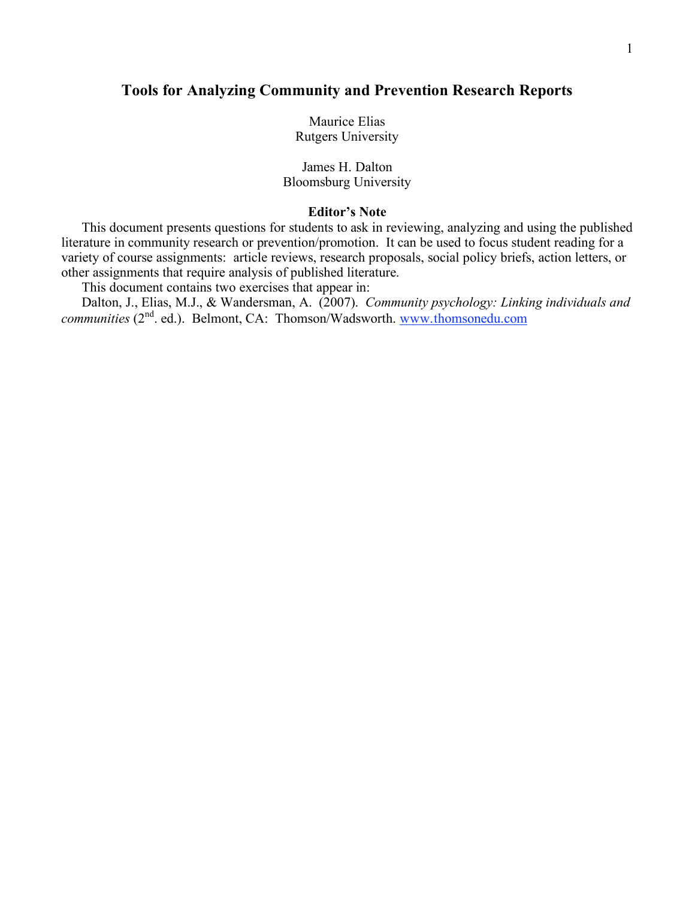# **Tools for Analyzing Community and Prevention Research Reports**

Maurice Elias Rutgers University

#### James H. Dalton Bloomsburg University

#### **Editor's Note**

This document presents questions for students to ask in reviewing, analyzing and using the published literature in community research or prevention/promotion. It can be used to focus student reading for a variety of course assignments: article reviews, research proposals, social policy briefs, action letters, or other assignments that require analysis of published literature.

This document contains two exercises that appear in:

Dalton, J., Elias, M.J., & Wandersman, A. (2007). *Community psychology: Linking individuals and* communities (2<sup>nd</sup>. ed.). Belmont, CA: Thomson/Wadsworth. www.thomsonedu.com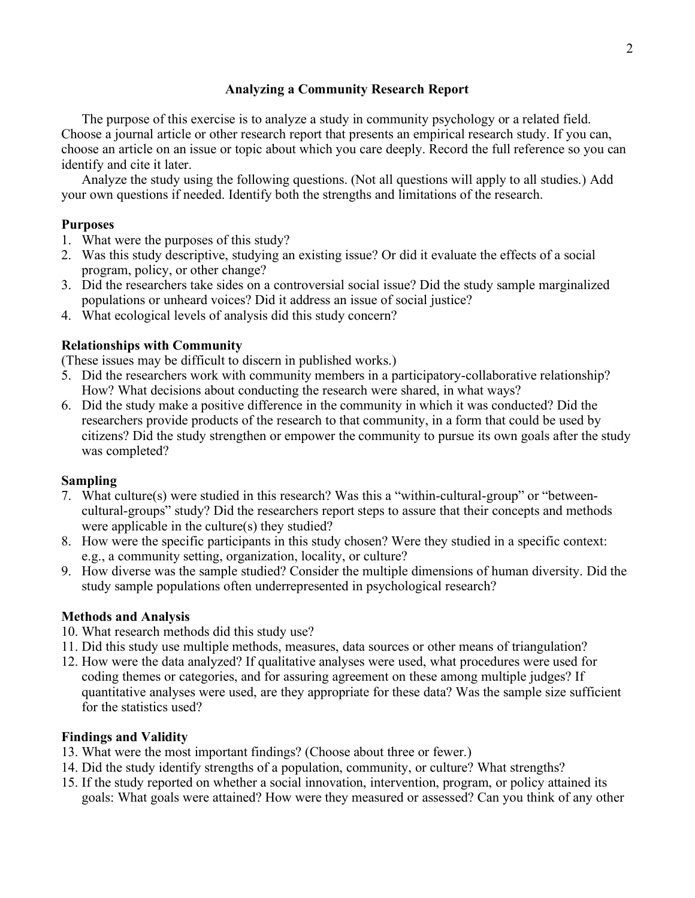### **Analyzing a Community Research Report**

The purpose of this exercise is to analyze a study in community psychology or a related field. Choose a journal article or other research report that presents an empirical research study. If you can, choose an article on an issue or topic about which you care deeply. Record the full reference so you can identify and cite it later.

Analyze the study using the following questions. (Not all questions will apply to all studies.) Add your own questions if needed. Identify both the strengths and limitations of the research.

### **Purposes**

- 1. What were the purposes of this study?
- 2. Was this study descriptive, studying an existing issue? Or did it evaluate the effects of a social program, policy, or other change?
- 3. Did the researchers take sides on a controversial social issue? Did the study sample marginalized populations or unheard voices? Did it address an issue of social justice?
- 4. What ecological levels of analysis did this study concern?

## **Relationships with Community**

(These issues may be difficult to discern in published works.)

- 5. Did the researchers work with community members in a participatory-collaborative relationship? How? What decisions about conducting the research were shared, in what ways?
- 6. Did the study make a positive difference in the community in which it was conducted? Did the researchers provide products of the research to that community, in a form that could be used by citizens? Did the study strengthen or empower the community to pursue its own goals after the study was completed?

## **Sampling**

- 7. What culture(s) were studied in this research? Was this a "within-cultural-group" or "betweencultural-groups" study? Did the researchers report steps to assure that their concepts and methods were applicable in the culture(s) they studied?
- 8. How were the specific participants in this study chosen? Were they studied in a specific context: e.g., a community setting, organization, locality, or culture?
- 9. How diverse was the sample studied? Consider the multiple dimensions of human diversity. Did the study sample populations often underrepresented in psychological research?

## **Methods and Analysis**

- 10. What research methods did this study use?
- 11. Did this study use multiple methods, measures, data sources or other means of triangulation?
- 12. How were the data analyzed? If qualitative analyses were used, what procedures were used for coding themes or categories, and for assuring agreement on these among multiple judges? If quantitative analyses were used, are they appropriate for these data? Was the sample size sufficient for the statistics used?

## **Findings and Validity**

- 13. What were the most important findings? (Choose about three or fewer.)
- 14. Did the study identify strengths of a population, community, or culture? What strengths?
- 15. If the study reported on whether a social innovation, intervention, program, or policy attained its goals: What goals were attained? How were they measured or assessed? Can you think of any other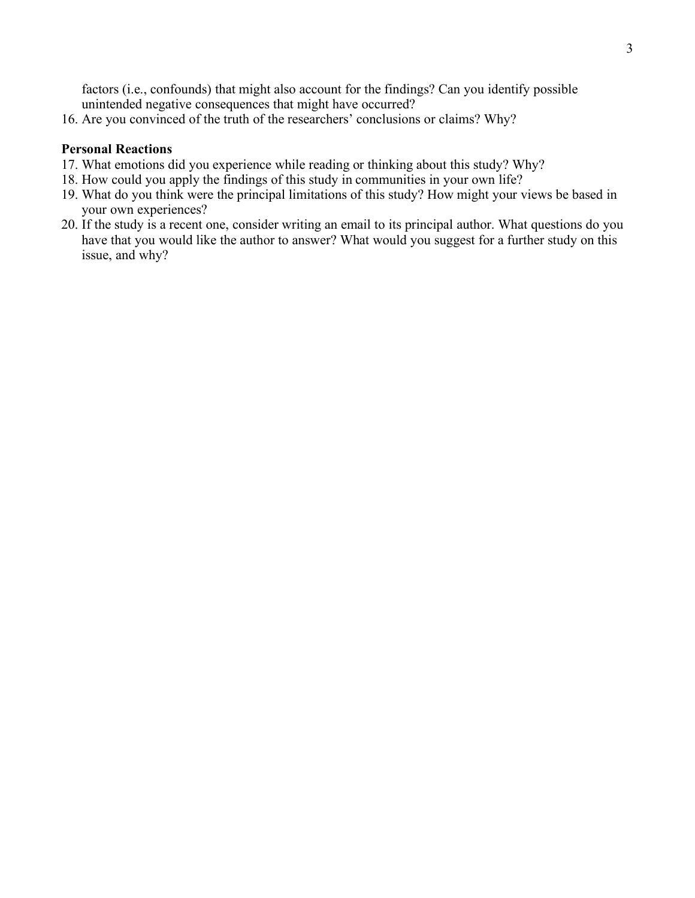factors (i.e., confounds) that might also account for the findings? Can you identify possible unintended negative consequences that might have occurred?

16. Are you convinced of the truth of the researchers' conclusions or claims? Why?

### **Personal Reactions**

- 17. What emotions did you experience while reading or thinking about this study? Why?
- 18. How could you apply the findings of this study in communities in your own life?
- 19. What do you think were the principal limitations of this study? How might your views be based in your own experiences?
- 20. If the study is a recent one, consider writing an email to its principal author. What questions do you have that you would like the author to answer? What would you suggest for a further study on this issue, and why?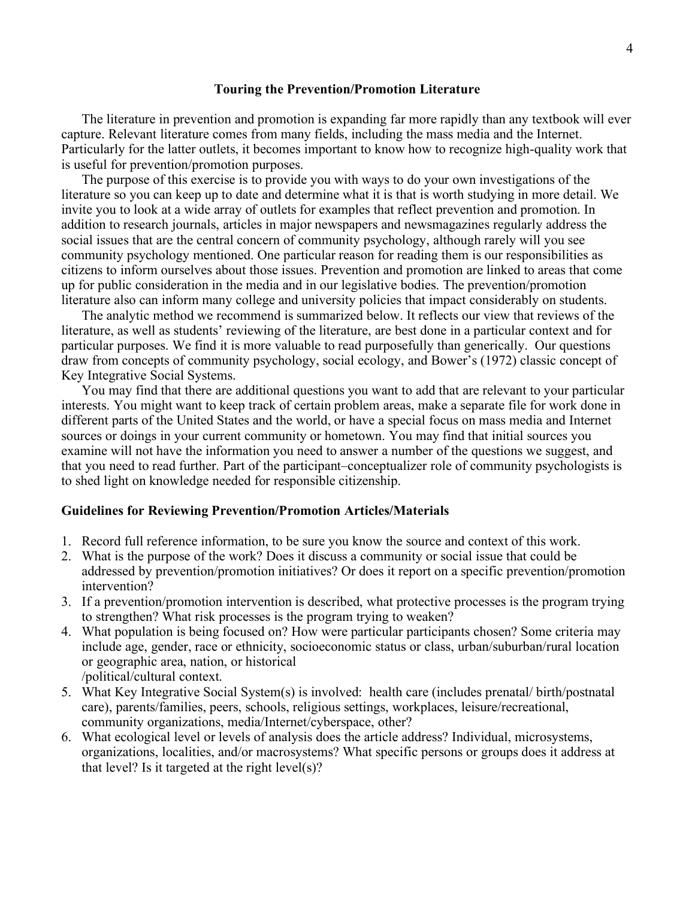#### **Touring the Prevention/Promotion Literature**

The literature in prevention and promotion is expanding far more rapidly than any textbook will ever capture. Relevant literature comes from many fields, including the mass media and the Internet. Particularly for the latter outlets, it becomes important to know how to recognize high-quality work that is useful for prevention/promotion purposes.

The purpose of this exercise is to provide you with ways to do your own investigations of the literature so you can keep up to date and determine what it is that is worth studying in more detail. We invite you to look at a wide array of outlets for examples that reflect prevention and promotion. In addition to research journals, articles in major newspapers and newsmagazines regularly address the social issues that are the central concern of community psychology, although rarely will you see community psychology mentioned. One particular reason for reading them is our responsibilities as citizens to inform ourselves about those issues. Prevention and promotion are linked to areas that come up for public consideration in the media and in our legislative bodies. The prevention/promotion literature also can inform many college and university policies that impact considerably on students.

The analytic method we recommend is summarized below. It reflects our view that reviews of the literature, as well as students' reviewing of the literature, are best done in a particular context and for particular purposes. We find it is more valuable to read purposefully than generically. Our questions draw from concepts of community psychology, social ecology, and Bower's (1972) classic concept of Key Integrative Social Systems.

You may find that there are additional questions you want to add that are relevant to your particular interests. You might want to keep track of certain problem areas, make a separate file for work done in different parts of the United States and the world, or have a special focus on mass media and Internet sources or doings in your current community or hometown. You may find that initial sources you examine will not have the information you need to answer a number of the questions we suggest, and that you need to read further. Part of the participant–conceptualizer role of community psychologists is to shed light on knowledge needed for responsible citizenship.

#### **Guidelines for Reviewing Prevention/Promotion Articles/Materials**

- 1. Record full reference information, to be sure you know the source and context of this work.
- 2. What is the purpose of the work? Does it discuss a community or social issue that could be addressed by prevention/promotion initiatives? Or does it report on a specific prevention/promotion intervention?
- 3. If a prevention/promotion intervention is described, what protective processes is the program trying to strengthen? What risk processes is the program trying to weaken?
- 4. What population is being focused on? How were particular participants chosen? Some criteria may include age, gender, race or ethnicity, socioeconomic status or class, urban/suburban/rural location or geographic area, nation, or historical /political/cultural context.
- 5. What Key Integrative Social System(s) is involved: health care (includes prenatal/ birth/postnatal care), parents/families, peers, schools, religious settings, workplaces, leisure/recreational, community organizations, media/Internet/cyberspace, other?
- 6. What ecological level or levels of analysis does the article address? Individual, microsystems, organizations, localities, and/or macrosystems? What specific persons or groups does it address at that level? Is it targeted at the right level(s)?